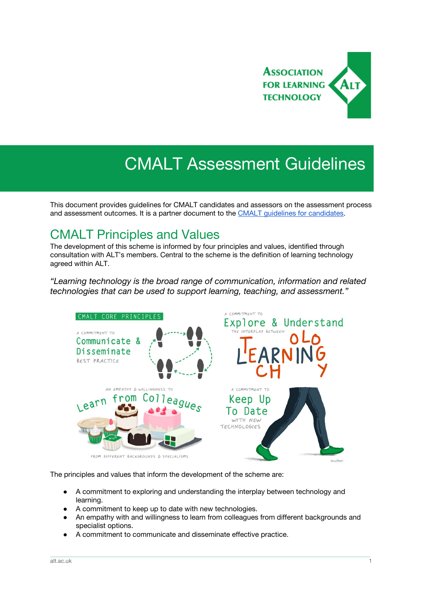

# CMALT Assessment Guidelines

This document provides guidelines for CMALT candidates and assessors on the assessment process and assessment outcomes. It is a partner document to the CMALT guidelines for [candidates](https://www.alt.ac.uk/certified-membership/cmalt-guidelines).

### CMALT Principles and Values

The development of this scheme is informed by four principles and values, identified through consultation with ALT's members. Central to the scheme is the definition of learning technology agreed within ALT.

*"Learning technology is the broad range of communication, information and related technologies that can be used to support learning, teaching, and assessment."*



The principles and values that inform the development of the scheme are:

- A commitment to exploring and understanding the interplay between technology and learning.
- A commitment to keep up to date with new technologies.
- An empathy with and willingness to learn from colleagues from different backgrounds and specialist options.

\_\_\_\_\_\_\_\_\_\_\_\_\_\_\_\_\_\_\_\_\_\_\_\_\_\_\_\_\_\_\_\_\_\_\_\_\_\_\_\_\_\_\_\_\_\_\_\_\_\_\_\_\_\_\_\_\_\_\_\_\_\_\_\_\_\_\_\_\_\_\_\_\_\_\_\_\_\_\_\_\_\_\_\_\_\_\_\_\_\_\_\_\_\_\_\_\_\_\_\_\_\_\_\_\_\_\_\_\_\_\_\_\_\_\_\_\_\_\_\_\_\_\_\_\_\_\_\_\_\_\_\_\_\_\_\_\_\_\_\_\_\_\_\_\_\_\_\_\_\_

A commitment to communicate and disseminate effective practice.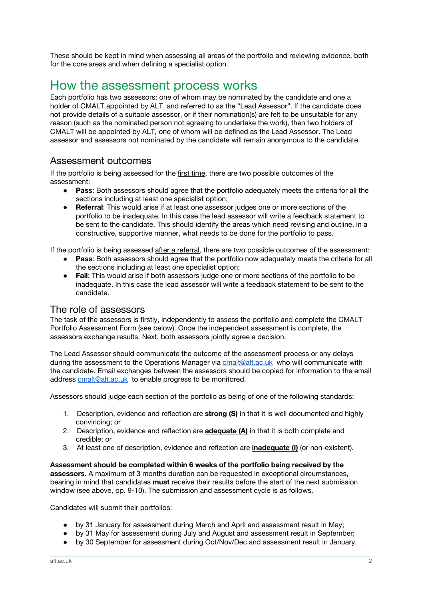These should be kept in mind when assessing all areas of the portfolio and reviewing evidence, both for the core areas and when defining a specialist option.

## How the assessment process works

Each portfolio has two assessors: one of whom may be nominated by the candidate and one a holder of CMALT appointed by ALT, and referred to as the "Lead Assessor". If the candidate does not provide details of a suitable assessor, or if their nomination(s) are felt to be unsuitable for any reason (such as the nominated person not agreeing to undertake the work), then two holders of CMALT will be appointed by ALT, one of whom will be defined as the Lead Assessor. The Lead assessor and assessors not nominated by the candidate will remain anonymous to the candidate.

### Assessment outcomes

If the portfolio is being assessed for the first time, there are two possible outcomes of the assessment:

- **Pass:** Both assessors should agree that the portfolio adequately meets the criteria for all the sections including at least one specialist option;
- **Referral**: This would arise if at least one assessor judges one or more sections of the portfolio to be inadequate. In this case the lead assessor will write a feedback statement to be sent to the candidate. This should identify the areas which need revising and outline, in a constructive, supportive manner, what needs to be done for the portfolio to pass.

If the portfolio is being assessed after a referral, there are two possible outcomes of the assessment:

- **Pass**: Both assessors should agree that the portfolio now adequately meets the criteria for all the sections including at least one specialist option;
- **Fail**: This would arise if both assessors judge one or more sections of the portfolio to be inadequate. In this case the lead assessor will write a feedback statement to be sent to the candidate.

### The role of assessors

The task of the assessors is firstly, independently to assess the portfolio and complete the CMALT Portfolio Assessment Form (see below). Once the independent assessment is complete, the assessors exchange results. Next, both assessors jointly agree a decision.

The Lead Assessor should communicate the outcome of the assessment process or any delays during the assessment to the Operations Manager via **[cmalt@alt.ac.uk](mailto:cmalt@alt.ac.uk)** who will communicate with the candidate. Email exchanges between the assessors should be copied for information to the email address [cmalt@alt.ac.uk](mailto:cmalt@alt.ac.uk) to enable progress to be monitored.

Assessors should judge each section of the portfolio as being of one of the following standards:

- 1. Description, evidence and reflection are **strong (S)** in that it is well documented and highly convincing; or
- 2. Description, evidence and reflection are **adequate (A)** in that it is both complete and credible; or
- 3. At least one of description, evidence and reflection are **inadequate (I)** (or non-existent).

**Assessment should be completed within 6 weeks of the portfolio being received by the assessors.** A maximum of 3 months duration can be requested in exceptional circumstances, bearing in mind that candidates **must** receive their results before the start of the next submission window (see above, pp. 9-10). The submission and assessment cycle is as follows.

Candidates will submit their portfolios:

- by 31 January for assessment during March and April and assessment result in May;
- by 31 May for assessment during July and August and assessment result in September;
- by 30 September for assessment during Oct/Nov/Dec and assessment result in January.